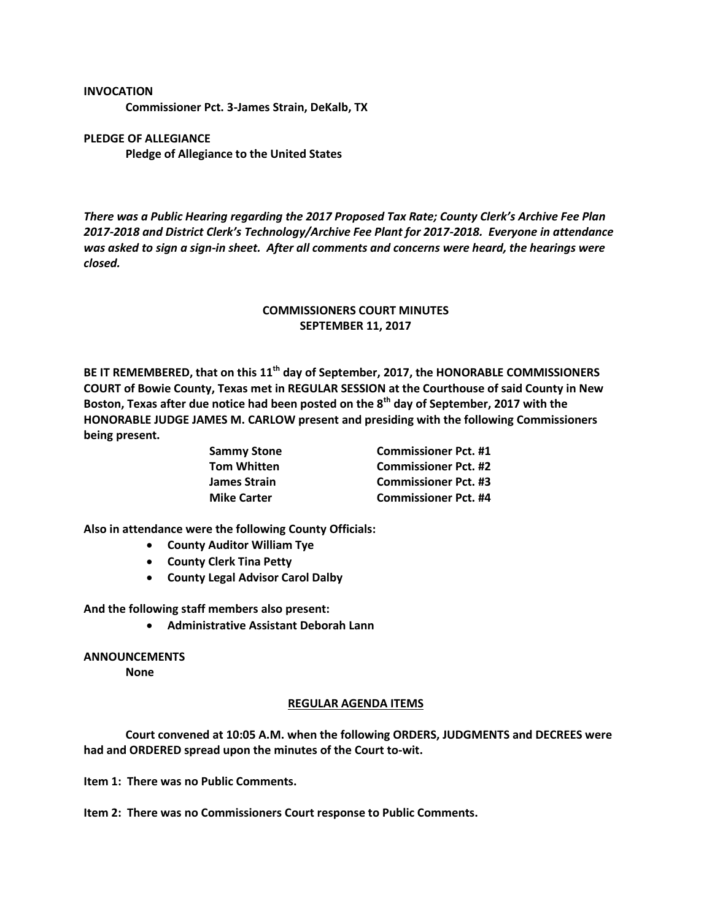## **INVOCATION**

**Commissioner Pct. 3-James Strain, DeKalb, TX**

## **PLEDGE OF ALLEGIANCE Pledge of Allegiance to the United States**

*There was a Public Hearing regarding the 2017 Proposed Tax Rate; County Clerk's Archive Fee Plan 2017-2018 and District Clerk's Technology/Archive Fee Plant for 2017-2018. Everyone in attendance was asked to sign a sign-in sheet. After all comments and concerns were heard, the hearings were closed.*

## **COMMISSIONERS COURT MINUTES SEPTEMBER 11, 2017**

**BE IT REMEMBERED, that on this 11th day of September, 2017, the HONORABLE COMMISSIONERS COURT of Bowie County, Texas met in REGULAR SESSION at the Courthouse of said County in New Boston, Texas after due notice had been posted on the 8th day of September, 2017 with the HONORABLE JUDGE JAMES M. CARLOW present and presiding with the following Commissioners being present.**

**Sammy Stone Commissioner Pct. #1 Tom Whitten Commissioner Pct. #2 James Strain Commissioner Pct. #3 Mike Carter Commissioner Pct. #4**

**Also in attendance were the following County Officials:**

- **County Auditor William Tye**
- **County Clerk Tina Petty**
- **County Legal Advisor Carol Dalby**

**And the following staff members also present:**

**Administrative Assistant Deborah Lann**

**ANNOUNCEMENTS None**

## **REGULAR AGENDA ITEMS**

**Court convened at 10:05 A.M. when the following ORDERS, JUDGMENTS and DECREES were had and ORDERED spread upon the minutes of the Court to-wit.**

**Item 1: There was no Public Comments.**

**Item 2: There was no Commissioners Court response to Public Comments.**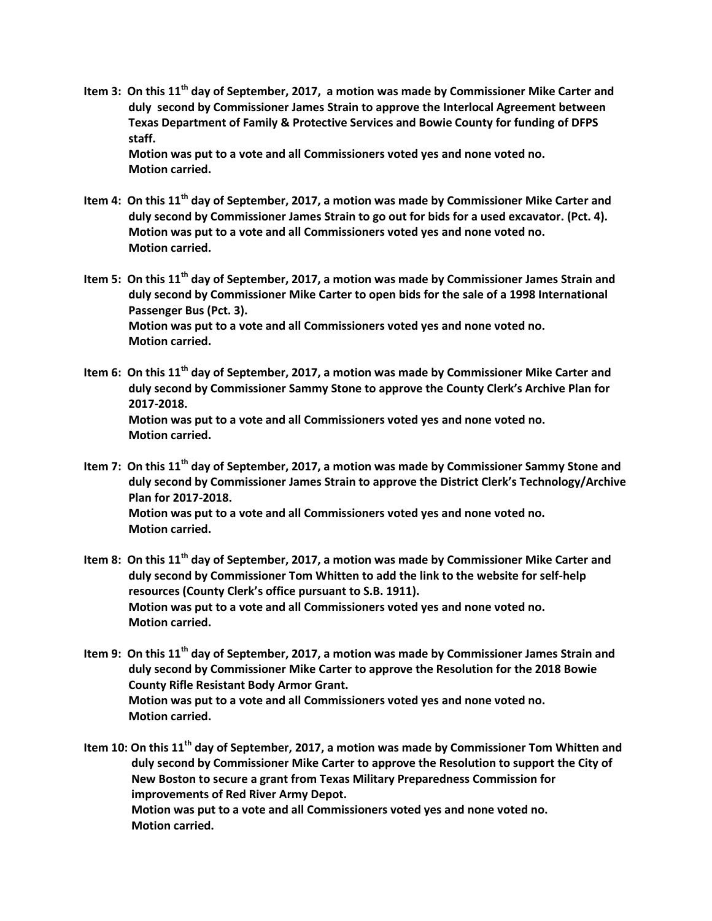**Item 3: On this 11th day of September, 2017, a motion was made by Commissioner Mike Carter and duly second by Commissioner James Strain to approve the Interlocal Agreement between Texas Department of Family & Protective Services and Bowie County for funding of DFPS staff.**

**Motion was put to a vote and all Commissioners voted yes and none voted no. Motion carried.**

- **Item 4: On this 11th day of September, 2017, a motion was made by Commissioner Mike Carter and duly second by Commissioner James Strain to go out for bids for a used excavator. (Pct. 4). Motion was put to a vote and all Commissioners voted yes and none voted no. Motion carried.**
- **Item 5: On this 11th day of September, 2017, a motion was made by Commissioner James Strain and duly second by Commissioner Mike Carter to open bids for the sale of a 1998 International Passenger Bus (Pct. 3). Motion was put to a vote and all Commissioners voted yes and none voted no. Motion carried.**
- **Item 6: On this 11th day of September, 2017, a motion was made by Commissioner Mike Carter and duly second by Commissioner Sammy Stone to approve the County Clerk's Archive Plan for 2017-2018. Motion was put to a vote and all Commissioners voted yes and none voted no. Motion carried.**
- **Item 7: On this 11th day of September, 2017, a motion was made by Commissioner Sammy Stone and duly second by Commissioner James Strain to approve the District Clerk's Technology/Archive Plan for 2017-2018. Motion was put to a vote and all Commissioners voted yes and none voted no. Motion carried.**
- **Item 8: On this 11th day of September, 2017, a motion was made by Commissioner Mike Carter and duly second by Commissioner Tom Whitten to add the link to the website for self-help resources (County Clerk's office pursuant to S.B. 1911). Motion was put to a vote and all Commissioners voted yes and none voted no. Motion carried.**
- **Item 9: On this 11th day of September, 2017, a motion was made by Commissioner James Strain and duly second by Commissioner Mike Carter to approve the Resolution for the 2018 Bowie County Rifle Resistant Body Armor Grant. Motion was put to a vote and all Commissioners voted yes and none voted no. Motion carried.**

**Item 10: On this 11th day of September, 2017, a motion was made by Commissioner Tom Whitten and duly second by Commissioner Mike Carter to approve the Resolution to support the City of New Boston to secure a grant from Texas Military Preparedness Commission for improvements of Red River Army Depot. Motion was put to a vote and all Commissioners voted yes and none voted no. Motion carried.**